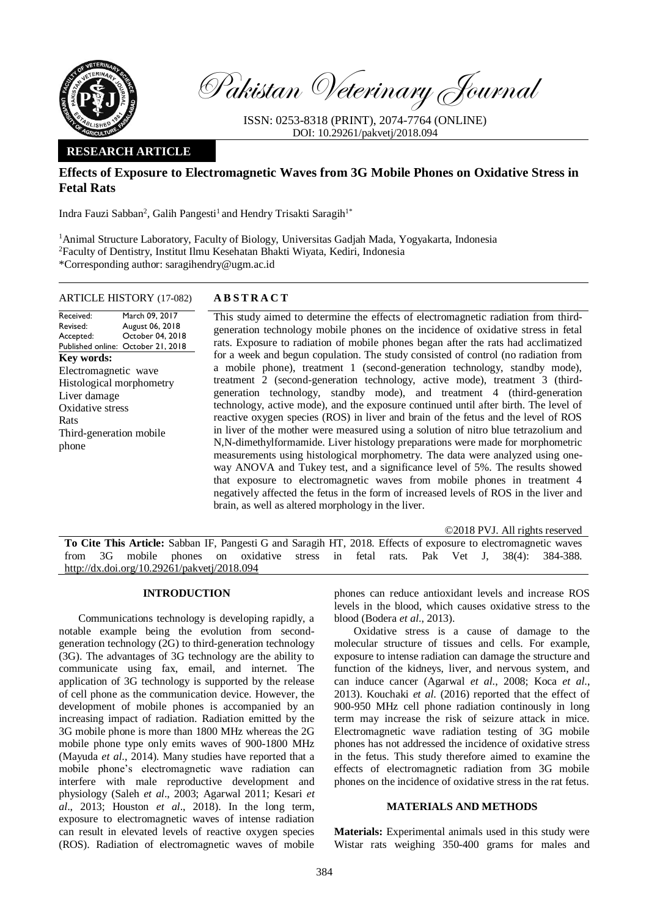

Pakistan Veterinary Journal

ISSN: 0253-8318 (PRINT), 2074-7764 (ONLINE) DOI: 10.29261/pakvetj/2018.094

## **RESEARCH ARTICLE**

# **Effects of Exposure to Electromagnetic Waves from 3G Mobile Phones on Oxidative Stress in Fetal Rats**

Indra Fauzi Sabban<sup>2</sup>, Galih Pangesti<sup>1</sup> and Hendry Trisakti Saragih<sup>1\*</sup>

<sup>1</sup>Animal Structure Laboratory, Faculty of Biology, Universitas Gadjah Mada, Yogyakarta, Indonesia <sup>2</sup>Faculty of Dentistry, Institut Ilmu Kesehatan Bhakti Wiyata, Kediri, Indonesia \*Corresponding author: saragihendry@ugm.ac.id

### ARTICLE HISTORY (17-082) **A B S T R A C T**

Received: Revised: Accepted: Published online: October 21, 2018 March 09, 2017 August 06, 2018 October 04, 2018 **Key words:**  Electromagnetic wave Histological morphometry Liver damage Oxidative stress Rats Third-generation mobile phone

This study aimed to determine the effects of electromagnetic radiation from thirdgeneration technology mobile phones on the incidence of oxidative stress in fetal rats. Exposure to radiation of mobile phones began after the rats had acclimatized for a week and begun copulation. The study consisted of control (no radiation from a mobile phone), treatment 1 (second-generation technology, standby mode), treatment 2 (second-generation technology, active mode), treatment 3 (thirdgeneration technology, standby mode), and treatment 4 (third-generation technology, active mode), and the exposure continued until after birth. The level of reactive oxygen species (ROS) in liver and brain of the fetus and the level of ROS in liver of the mother were measured using a solution of nitro blue tetrazolium and N,N-dimethylformamide. Liver histology preparations were made for morphometric measurements using histological morphometry. The data were analyzed using oneway ANOVA and Tukey test, and a significance level of 5%. The results showed that exposure to electromagnetic waves from mobile phones in treatment 4 negatively affected the fetus in the form of increased levels of ROS in the liver and brain, as well as altered morphology in the liver.

©2018 PVJ. All rights reserved

**To Cite This Article:** Sabban IF, Pangesti G and Saragih HT, 2018. Effects of exposure to electromagnetic waves from 3G mobile phones on oxidative stress in fetal rats. Pak Vet J, 38(4): 384-388. [http://dx.doi.org/10.29261/pakvetj/2018.094](http://pvj.com.pk/pdf-files/38_4/384-388.pdf) 

### **INTRODUCTION**

Communications technology is developing rapidly, a notable example being the evolution from secondgeneration technology (2G) to third-generation technology (3G). The advantages of 3G technology are the ability to communicate using fax, email, and internet. The application of 3G technology is supported by the release of cell phone as the communication device. However, the development of mobile phones is accompanied by an increasing impact of radiation. Radiation emitted by the 3G mobile phone is more than 1800 MHz whereas the 2G mobile phone type only emits waves of 900-1800 MHz (Mayuda *et al*., 2014). Many studies have reported that a mobile phone's electromagnetic wave radiation can interfere with male reproductive development and physiology (Saleh *et al*., 2003; Agarwal 2011; Kesari *et al*., 2013; Houston *et al*., 2018). In the long term, exposure to electromagnetic waves of intense radiation can result in elevated levels of reactive oxygen species (ROS). Radiation of electromagnetic waves of mobile

phones can reduce antioxidant levels and increase ROS levels in the blood, which causes oxidative stress to the blood (Bodera *et al*., 2013).

Oxidative stress is a cause of damage to the molecular structure of tissues and cells. For example, exposure to intense radiation can damage the structure and function of the kidneys, liver, and nervous system, and can induce cancer (Agarwal *et al*., 2008; Koca *et al*., 2013). Kouchaki *et al*. (2016) reported that the effect of 900-950 MHz cell phone radiation continously in long term may increase the risk of seizure attack in mice. Electromagnetic wave radiation testing of 3G mobile phones has not addressed the incidence of oxidative stress in the fetus. This study therefore aimed to examine the effects of electromagnetic radiation from 3G mobile phones on the incidence of oxidative stress in the rat fetus.

### **MATERIALS AND METHODS**

**Materials:** Experimental animals used in this study were Wistar rats weighing 350-400 grams for males and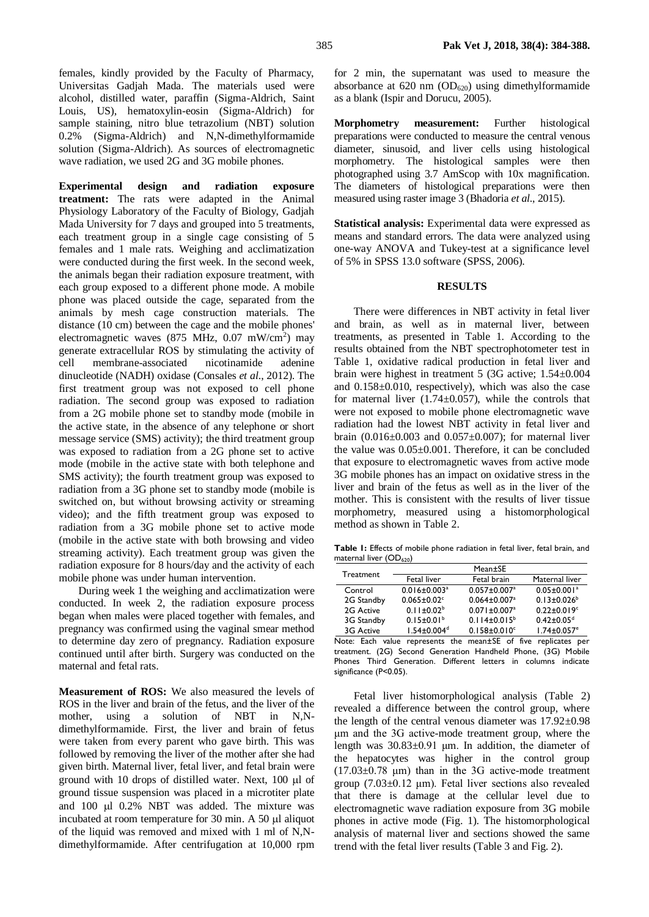females, kindly provided by the Faculty of Pharmacy, Universitas Gadjah Mada. The materials used were alcohol, distilled water, paraffin (Sigma-Aldrich, Saint Louis, US), hematoxylin-eosin (Sigma-Aldrich) for sample staining, nitro blue tetrazolium (NBT) solution 0.2% (Sigma-Aldrich) and N,N-dimethylformamide solution (Sigma-Aldrich). As sources of electromagnetic wave radiation, we used 2G and 3G mobile phones.

**Experimental design and radiation exposure treatment:** The rats were adapted in the Animal Physiology Laboratory of the Faculty of Biology, Gadjah Mada University for 7 days and grouped into 5 treatments, each treatment group in a single cage consisting of 5 females and 1 male rats. Weighing and acclimatization were conducted during the first week. In the second week, the animals began their radiation exposure treatment, with each group exposed to a different phone mode. A mobile phone was placed outside the cage, separated from the animals by mesh cage construction materials. The distance (10 cm) between the cage and the mobile phones' electromagnetic waves (875 MHz, 0.07 mW/cm<sup>2</sup>) may generate extracellular ROS by stimulating the activity of cell membrane-associated nicotinamide adenine dinucleotide (NADH) oxidase (Consales *et al*., 2012). The first treatment group was not exposed to cell phone radiation. The second group was exposed to radiation from a 2G mobile phone set to standby mode (mobile in the active state, in the absence of any telephone or short message service (SMS) activity); the third treatment group was exposed to radiation from a 2G phone set to active mode (mobile in the active state with both telephone and SMS activity); the fourth treatment group was exposed to radiation from a 3G phone set to standby mode (mobile is switched on, but without browsing activity or streaming video); and the fifth treatment group was exposed to radiation from a 3G mobile phone set to active mode (mobile in the active state with both browsing and video streaming activity). Each treatment group was given the radiation exposure for 8 hours/day and the activity of each mobile phone was under human intervention.

During week 1 the weighing and acclimatization were conducted. In week 2, the radiation exposure process began when males were placed together with females, and pregnancy was confirmed using the vaginal smear method to determine day zero of pregnancy. Radiation exposure continued until after birth. Surgery was conducted on the maternal and fetal rats.

**Measurement of ROS:** We also measured the levels of ROS in the liver and brain of the fetus, and the liver of the mother, using a solution of NBT in N,Ndimethylformamide. First, the liver and brain of fetus were taken from every parent who gave birth. This was followed by removing the liver of the mother after she had given birth. Maternal liver, fetal liver, and fetal brain were ground with 10 drops of distilled water. Next,  $100 \mu l$  of ground tissue suspension was placed in a microtiter plate and  $100 \text{ µ}$   $0.2\%$  NBT was added. The mixture was incubated at room temperature for  $30$  min. A  $50$   $\mu$ l aliquot of the liquid was removed and mixed with 1 ml of N,Ndimethylformamide. After centrifugation at 10,000 rpm

for 2 min, the supernatant was used to measure the absorbance at  $620 \text{ nm}$  (OD<sub>620</sub>) using dimethylformamide as a blank (Ispir and Dorucu, 2005).

**Morphometry measurement:** Further histological preparations were conducted to measure the central venous diameter, sinusoid, and liver cells using histological morphometry. The histological samples were then photographed using 3.7 AmScop with 10x magnification. The diameters of histological preparations were then measured using raster image 3 (Bhadoria *et al*., 2015).

**Statistical analysis:** Experimental data were expressed as means and standard errors. The data were analyzed using one-way ANOVA and Tukey-test at a significance level of 5% in SPSS 13.0 software (SPSS, 2006).

#### **RESULTS**

There were differences in NBT activity in fetal liver and brain, as well as in maternal liver, between treatments, as presented in Table 1. According to the results obtained from the NBT spectrophotometer test in Table 1, oxidative radical production in fetal liver and brain were highest in treatment 5 (3G active; 1.54±0.004 and 0.158±0.010, respectively), which was also the case for maternal liver  $(1.74 \pm 0.057)$ , while the controls that were not exposed to mobile phone electromagnetic wave radiation had the lowest NBT activity in fetal liver and brain  $(0.016 \pm 0.003$  and  $0.057 \pm 0.007)$ ; for maternal liver the value was 0.05±0.001. Therefore, it can be concluded that exposure to electromagnetic waves from active mode 3G mobile phones has an impact on oxidative stress in the liver and brain of the fetus as well as in the liver of the mother. This is consistent with the results of liver tissue morphometry, measured using a histomorphological method as shown in Table 2.

**Table 1:** Effects of mobile phone radiation in fetal liver, fetal brain, and maternal liver (OD<sub>620</sub>)

| Treatment  | Mean±SE                        |                                |                               |  |  |
|------------|--------------------------------|--------------------------------|-------------------------------|--|--|
|            | Fetal liver                    | Fetal brain                    | Maternal liver                |  |  |
| Control    | $0.016 \pm 0.003$ <sup>a</sup> | $0.057 \pm 0.007$ <sup>a</sup> | $0.05 \pm 0.001$ <sup>a</sup> |  |  |
| 2G Standby | $0.065 \pm 0.02$ <sup>c</sup>  | $0.064 \pm 0.007$ <sup>a</sup> | $0.13 \pm 0.026^b$            |  |  |
| 2G Active  | $0.11 \pm 0.02^b$              | $0.071 \pm 0.007$ <sup>a</sup> | $0.22 \pm 0.019$ <sup>c</sup> |  |  |
| 3G Standby | $0.15 \pm 0.01^b$              | $0.114 \pm 0.015^b$            | $0.42 \pm 0.05$ <sup>d</sup>  |  |  |
| 3G Active  | $1.54 \pm 0.004$ <sup>d</sup>  | $0.158 \pm 0.010$ <sup>c</sup> | $1.74 \pm 0.057$ <sup>e</sup> |  |  |

Note: Each value represents the mean±SE of five replicates per treatment. (2G) Second Generation Handheld Phone, (3G) Mobile Phones Third Generation. Different letters in columns indicate significance (P<0.05).

Fetal liver histomorphological analysis (Table 2) revealed a difference between the control group, where the length of the central venous diameter was 17.92±0.98 μm and the 3G active-mode treatment group, where the length was 30.83±0.91 μm. In addition, the diameter of the hepatocytes was higher in the control group  $(17.03\pm0.78 \mu m)$  than in the 3G active-mode treatment group  $(7.03\pm0.12 \mu m)$ . Fetal liver sections also revealed that there is damage at the cellular level due to electromagnetic wave radiation exposure from 3G mobile phones in active mode (Fig. 1). The histomorphological analysis of maternal liver and sections showed the same trend with the fetal liver results (Table 3 and Fig. 2).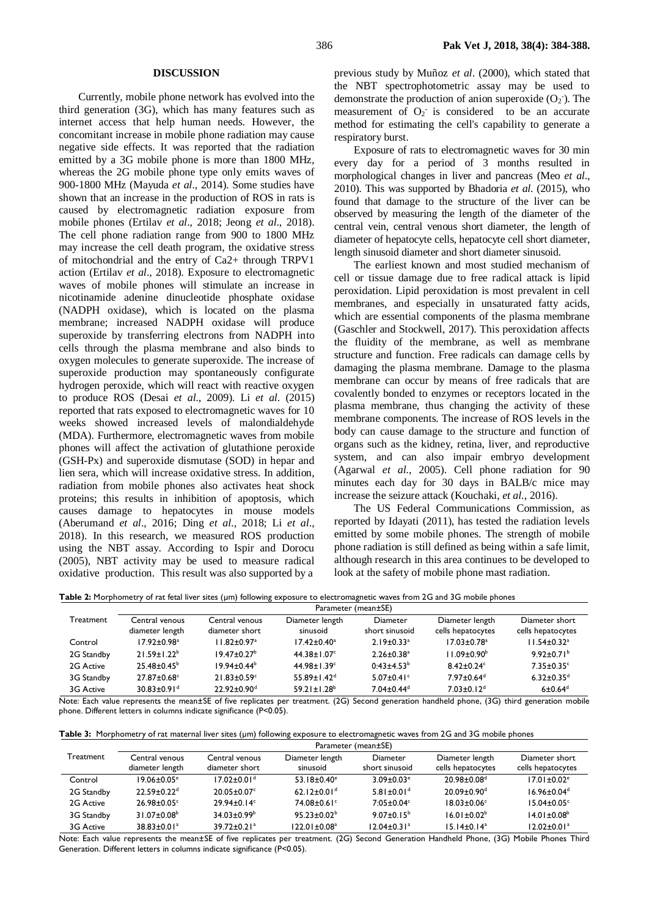#### **DISCUSSION**

Currently, mobile phone network has evolved into the third generation (3G), which has many features such as internet access that help human needs. However, the concomitant increase in mobile phone radiation may cause negative side effects. It was reported that the radiation emitted by a 3G mobile phone is more than 1800 MHz, whereas the 2G mobile phone type only emits waves of 900-1800 MHz (Mayuda *et al*., 2014). Some studies have shown that an increase in the production of ROS in rats is caused by electromagnetic radiation exposure from mobile phones (Ertilav *et al*., 2018; Jeong *et al*., 2018). The cell phone radiation range from 900 to 1800 MHz may increase the cell death program, the oxidative stress of mitochondrial and the entry of Ca2+ through TRPV1 action (Ertilav *et al*., 2018). Exposure to electromagnetic waves of mobile phones will stimulate an increase in nicotinamide adenine dinucleotide phosphate oxidase (NADPH oxidase), which is located on the plasma membrane; increased NADPH oxidase will produce superoxide by transferring electrons from NADPH into cells through the plasma membrane and also binds to oxygen molecules to generate superoxide. The increase of superoxide production may spontaneously configurate hydrogen peroxide, which will react with reactive oxygen to produce ROS (Desai *et al*., 2009). Li *et al*. (2015) reported that rats exposed to electromagnetic waves for 10 weeks showed increased levels of malondialdehyde (MDA). Furthermore, electromagnetic waves from mobile phones will affect the activation of glutathione peroxide (GSH-Px) and superoxide dismutase (SOD) in hepar and lien sera, which will increase oxidative stress. In addition, radiation from mobile phones also activates heat shock proteins; this results in inhibition of apoptosis, which causes damage to hepatocytes in mouse models (Aberumand *et al*., 2016; Ding *et al*., 2018; Li *et al*., 2018). In this research, we measured ROS production using the NBT assay. According to Ispir and Dorocu (2005), NBT activity may be used to measure radical oxidative production. This result was also supported by a

previous study by Muñoz *et al*. (2000), which stated that the NBT spectrophotometric assay may be used to demonstrate the production of anion superoxide  $(O_2)$ . The measurement of  $O_2$  is considered to be an accurate method for estimating the cell's capability to generate a respiratory burst.

Exposure of rats to electromagnetic waves for 30 min every day for a period of 3 months resulted in morphological changes in liver and pancreas (Meo *et al*., 2010). This was supported by Bhadoria *et al*. (2015), who found that damage to the structure of the liver can be observed by measuring the length of the diameter of the central vein, central venous short diameter, the length of diameter of hepatocyte cells, hepatocyte cell short diameter, length sinusoid diameter and short diameter sinusoid.

The earliest known and most studied mechanism of cell or tissue damage due to free radical attack is lipid peroxidation. Lipid peroxidation is most prevalent in cell membranes, and especially in unsaturated fatty acids, which are essential components of the plasma membrane (Gaschler and Stockwell, 2017). This peroxidation affects the fluidity of the membrane, as well as membrane structure and function. Free radicals can damage cells by damaging the plasma membrane. Damage to the plasma membrane can occur by means of free radicals that are covalently bonded to enzymes or receptors located in the plasma membrane, thus changing the activity of these membrane components. The increase of ROS levels in the body can cause damage to the structure and function of organs such as the kidney, retina, liver, and reproductive system, and can also impair embryo development (Agarwal *et al*., 2005). Cell phone radiation for 90 minutes each day for 30 days in BALB/c mice may increase the seizure attack (Kouchaki, *et al*., 2016).

The US Federal Communications Commission, as reported by Idayati (2011), has tested the radiation levels emitted by some mobile phones. The strength of mobile phone radiation is still defined as being within a safe limit, although research in this area continues to be developed to look at the safety of mobile phone mast radiation.

Table 2: Morphometry of rat fetal liver sites (µm) following exposure to electromagnetic waves from 2G and 3G mobile phones

|            | Parameter (mean±SE)           |                               |                               |                              |                               |                               |
|------------|-------------------------------|-------------------------------|-------------------------------|------------------------------|-------------------------------|-------------------------------|
| Treatment  | Central venous                | Central venous                | Diameter length               | Diameter                     | Diameter length               | Diameter short                |
|            | diameter length               | diameter short                | sinusoid                      | short sinusoid               | cells hepatocytes             | cells hepatocytes             |
| Control    | $17.92 \pm 0.98$ <sup>a</sup> | $11.82 \pm 0.97$ <sup>a</sup> | $17.42 \pm 0.40^a$            | $2.19 \pm 0.33$ <sup>a</sup> | $17.03 \pm 0.78$ <sup>a</sup> | $11.54 \pm 0.32$ <sup>a</sup> |
| 2G Standby | $21.59 + 1.22^b$              | $19.47 + 0.27$ <sup>b</sup>   | 44.38±1.07°                   | $2.26 \pm 0.38$ <sup>a</sup> | $11.09 \pm 0.90^{\circ}$      | $9.92 \pm 0.71^{\circ}$       |
| 2G Active  | $25.48 \pm 0.45^{\circ}$      | $19.94 \pm 0.44^b$            | $44.98 \pm 1.39$ <sup>c</sup> | $0:43\pm4.53^{b}$            | $8.42 \pm 0.24$ <sup>c</sup>  | $7.35 \pm 0.35$ <sup>c</sup>  |
| 3G Standby | $27.87 \pm 0.68$ <sup>c</sup> | $21.83 \pm 0.59$ <sup>c</sup> | $55.89 \pm 1.42$ <sup>d</sup> | $5.07 \pm 0.41$ °            | $7.97 \pm 0.64$ <sup>d</sup>  | $6.32 \pm 0.35$ <sup>d</sup>  |
| 3G Active  | $30.83 \pm 0.91$ <sup>d</sup> | $22.92 \pm 0.90$ <sup>d</sup> | $59.21 \pm 1.28$ <sup>b</sup> | $7.04 \pm 0.44$ <sup>d</sup> | $7.03 \pm 0.12$ <sup>d</sup>  | $6\pm0.64$ <sup>d</sup>       |

Note: Each value represents the mean±SE of five replicates per treatment. (2G) Second generation handheld phone, (3G) third generation mobile phone. Different letters in columns indicate significance (P<0.05).

|  |  | Table 3: Morphometry of rat maternal liver sites $(\mu m)$ following exposure to electromagnetic waves from 2G and 3G mobile phones |  |  |  |
|--|--|-------------------------------------------------------------------------------------------------------------------------------------|--|--|--|
|--|--|-------------------------------------------------------------------------------------------------------------------------------------|--|--|--|

|                  | Parameter (mean±SE)           |                               |                               |                               |                               |                               |
|------------------|-------------------------------|-------------------------------|-------------------------------|-------------------------------|-------------------------------|-------------------------------|
| <b>Treatment</b> | Central venous                | Central venous                | Diameter length               | Diameter                      | Diameter length               | Diameter short                |
|                  | diameter length               | diameter short                | sinusoid                      | short sinusoid                | cells hepatocytes             | cells hepatocytes             |
| Control          | $19.06 \pm 0.05$ <sup>e</sup> | $17.02 \pm 0.01$ <sup>d</sup> | $53.18 \pm 0.40$ <sup>e</sup> | $3.09 \pm 0.03$ <sup>e</sup>  | 20.98±0.08 <sup>d</sup>       | $17.01 \pm 0.02$ <sup>e</sup> |
| 2G Standby       | $22.59 \pm 0.22$ <sup>d</sup> | $20.05 \pm 0.07$ <sup>c</sup> | $62.12 \pm 0.01$ <sup>d</sup> | $5.81 \pm 0.01$ <sup>d</sup>  | $20.09 \pm 0.90$ <sup>d</sup> | $16.96 \pm 0.04^d$            |
| 2G Active        | 26.98±0.05c                   | $79.94 + 0.14$ °              | 74.08±0.61°                   | $7:05 \pm 0.04$ <sup>c</sup>  | $18.03 \pm 0.06$ <sup>c</sup> | $15.04 \pm 0.05$ <sup>c</sup> |
| 3G Standby       | $31.07 \pm 0.08^{\circ}$      | $34.03 \pm 0.99^{\circ}$      | $95.23 \pm 0.02^b$            | $9.07 \pm 0.15^b$             | $16.01 \pm 0.02^b$            | $14.01 \pm 0.08^{\circ}$      |
| 3G Active        | $38.83 \pm 0.01^a$            | $39.72 \pm 0.21$ <sup>a</sup> | $122.01 \pm 0.08^a$           | $12.04 \pm 0.31$ <sup>a</sup> | $15.14 \pm 0.14$ <sup>a</sup> | $12.02 \pm 0.01$ <sup>a</sup> |

Note: Each value represents the mean±SE of five replicates per treatment. (2G) Second Generation Handheld Phone, (3G) Mobile Phones Third Generation. Different letters in columns indicate significance (P<0.05).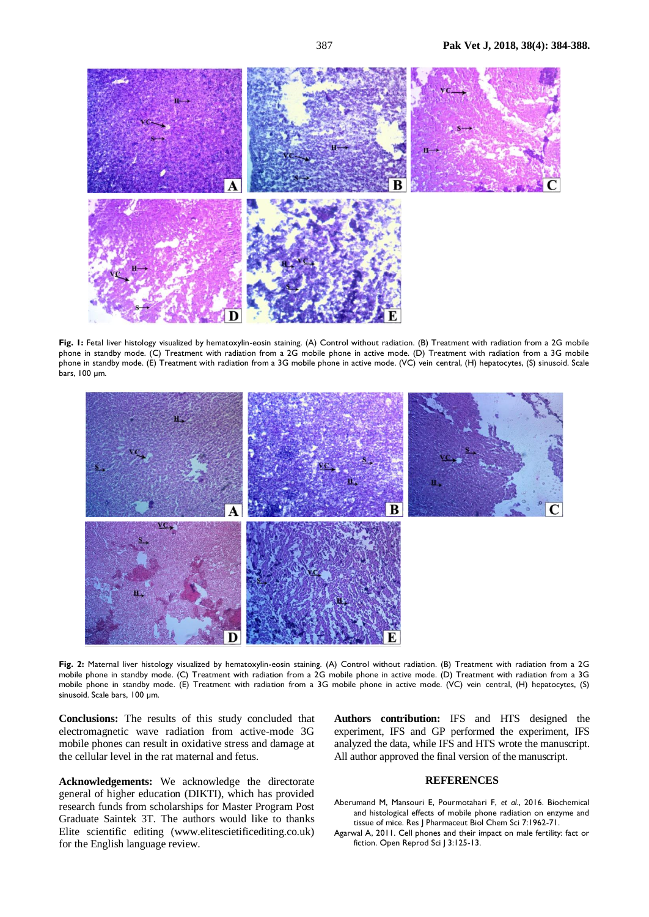

**Fig. 1:** Fetal liver histology visualized by hematoxylin-eosin staining. (A) Control without radiation. (B) Treatment with radiation from a 2G mobile phone in standby mode. (C) Treatment with radiation from a 2G mobile phone in active mode. (D) Treatment with radiation from a 3G mobile phone in standby mode. (E) Treatment with radiation from a 3G mobile phone in active mode. (VC) vein central, (H) hepatocytes, (S) sinusoid. Scale bars, 100 µm.



Fig. 2: Maternal liver histology visualized by hematoxylin-eosin staining. (A) Control without radiation. (B) Treatment with radiation from a 2G mobile phone in standby mode. (C) Treatment with radiation from a 2G mobile phone in active mode. (D) Treatment with radiation from a 3G mobile phone in standby mode. (E) Treatment with radiation from a 3G mobile phone in active mode. (VC) vein central, (H) hepatocytes, (S) sinusoid. Scale bars, 100 µm.

**Conclusions:** The results of this study concluded that electromagnetic wave radiation from active-mode 3G mobile phones can result in oxidative stress and damage at the cellular level in the rat maternal and fetus.

**Acknowledgements:** We acknowledge the directorate general of higher education (DIKTI), which has provided research funds from scholarships for Master Program Post Graduate Saintek 3T. The authors would like to thanks Elite scientific editing (www.elitescietificediting.co.uk) for the English language review.

**Authors contribution:** IFS and HTS designed the experiment, IFS and GP performed the experiment, IFS analyzed the data, while IFS and HTS wrote the manuscript. All author approved the final version of the manuscript.

## **REFERENCES**

Aberumand M, Mansouri E, Pourmotahari F, *et al*., 2016. Biochemical and histological effects of mobile phone radiation on enzyme and tissue of mice. Res J Pharmaceut Biol Chem Sci 7:1962-71.

Agarwal A, 2011. Cell phones and their impact on male fertility: fact or fiction. Open Reprod Sci J 3:125-13.